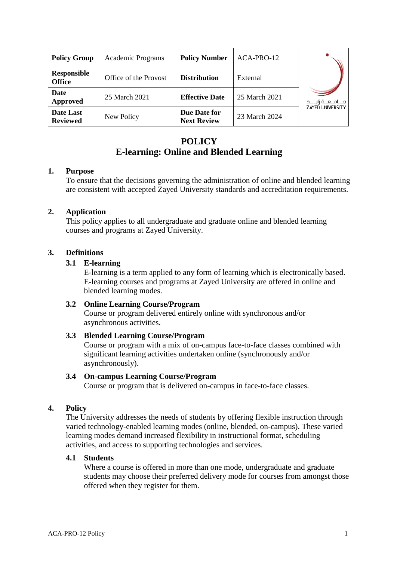| <b>Policy Group</b>                 | <b>Academic Programs</b> | <b>Policy Number</b>               | ACA-PRO-12    |                           |
|-------------------------------------|--------------------------|------------------------------------|---------------|---------------------------|
| <b>Responsible</b><br><b>Office</b> | Office of the Provost    | <b>Distribution</b>                | External      |                           |
| <b>Date</b><br>Approved             | 25 March 2021            | <b>Effective Date</b>              | 25 March 2021 | جــــامـــعـــة زايـــــد |
| Date Last<br><b>Reviewed</b>        | New Policy               | Due Date for<br><b>Next Review</b> | 23 March 2024 | <b>ZAYED UNIVERSITY</b>   |

# **POLICY E-learning: Online and Blended Learning**

## **1. Purpose**

To ensure that the decisions governing the administration of online and blended learning are consistent with accepted Zayed University standards and accreditation requirements.

## **2. Application**

This policy applies to all undergraduate and graduate online and blended learning courses and programs at Zayed University.

## **3. Definitions**

### **3.1 E-learning**

E-learning is a term applied to any form of learning which is electronically based. E-learning courses and programs at Zayed University are offered in online and blended learning modes.

### **3.2 Online Learning Course/Program**

Course or program delivered entirely online with synchronous and/or asynchronous activities.

### **3.3 Blended Learning Course/Program**

Course or program with a mix of on-campus face-to-face classes combined with significant learning activities undertaken online (synchronously and/or asynchronously).

### **3.4 On-campus Learning Course/Program**

Course or program that is delivered on-campus in face-to-face classes.

# **4. Policy**

The University addresses the needs of students by offering flexible instruction through varied technology-enabled learning modes (online, blended, on-campus). These varied learning modes demand increased flexibility in instructional format, scheduling activities, and access to supporting technologies and services.

### **4.1 Students**

Where a course is offered in more than one mode, undergraduate and graduate students may choose their preferred delivery mode for courses from amongst those offered when they register for them.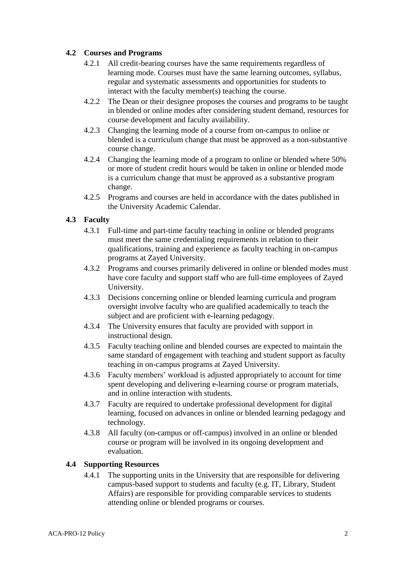# **4.2 Courses and Programs**

- 4.2.1 All credit-bearing courses have the same requirements regardless of learning mode. Courses must have the same learning outcomes, syllabus, regular and systematic assessments and opportunities for students to interact with the faculty member(s) teaching the course.
- 4.2.2 The Dean or their designee proposes the courses and programs to be taught in blended or online modes after considering student demand, resources for course development and faculty availability.
- 4.2.3 Changing the learning mode of a course from on-campus to online or blended is a curriculum change that must be approved as a non-substantive course change.
- 4.2.4 Changing the learning mode of a program to online or blended where 50% or more of student credit hours would be taken in online or blended mode is a curriculum change that must be approved as a substantive program change.
- 4.2.5 Programs and courses are held in accordance with the dates published in the University Academic Calendar.

# **4.3 Faculty**

- 4.3.1 Full-time and part-time faculty teaching in online or blended programs must meet the same credentialing requirements in relation to their qualifications, training and experience as faculty teaching in on-campus programs at Zayed University.
- 4.3.2 Programs and courses primarily delivered in online or blended modes must have core faculty and support staff who are full-time employees of Zayed University.
- 4.3.3 Decisions concerning online or blended learning curricula and program oversight involve faculty who are qualified academically to teach the subject and are proficient with e-learning pedagogy.
- 4.3.4 The University ensures that faculty are provided with support in instructional design.
- 4.3.5 Faculty teaching online and blended courses are expected to maintain the same standard of engagement with teaching and student support as faculty teaching in on-campus programs at Zayed University.
- 4.3.6 Faculty members' workload is adjusted appropriately to account for time spent developing and delivering e-learning course or program materials, and in online interaction with students.
- 4.3.7 Faculty are required to undertake professional development for digital learning, focused on advances in online or blended learning pedagogy and technology.
- 4.3.8 All faculty (on-campus or off-campus) involved in an online or blended course or program will be involved in its ongoing development and evaluation.

# **4.4 Supporting Resources**

4.4.1 The supporting units in the University that are responsible for delivering campus-based support to students and faculty (e.g. IT, Library, Student Affairs) are responsible for providing comparable services to students attending online or blended programs or courses.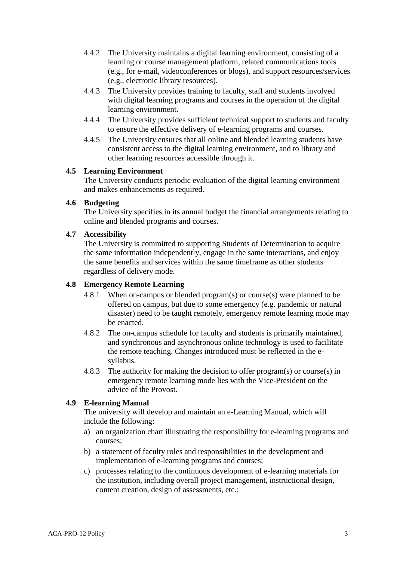- 4.4.2 The University maintains a digital learning environment, consisting of a learning or course management platform, related communications tools (e.g., for e-mail, videoconferences or blogs), and support resources/services (e.g., electronic library resources).
- 4.4.3 The University provides training to faculty, staff and students involved with digital learning programs and courses in the operation of the digital learning environment.
- 4.4.4 The University provides sufficient technical support to students and faculty to ensure the effective delivery of e-learning programs and courses.
- 4.4.5 The University ensures that all online and blended learning students have consistent access to the digital learning environment, and to library and other learning resources accessible through it.

## **4.5 Learning Environment**

The University conducts periodic evaluation of the digital learning environment and makes enhancements as required.

## **4.6 Budgeting**

The University specifies in its annual budget the financial arrangements relating to online and blended programs and courses.

#### **4.7 Accessibility**

The University is committed to supporting Students of Determination to acquire the same information independently, engage in the same interactions, and enjoy the same benefits and services within the same timeframe as other students regardless of delivery mode.

### **4.8 Emergency Remote Learning**

- 4.8.1 When on-campus or blended program(s) or course(s) were planned to be offered on campus, but due to some emergency (e.g. pandemic or natural disaster) need to be taught remotely, emergency remote learning mode may be enacted.
- 4.8.2 The on-campus schedule for faculty and students is primarily maintained, and synchronous and asynchronous online technology is used to facilitate the remote teaching. Changes introduced must be reflected in the esyllabus.
- 4.8.3 The authority for making the decision to offer program(s) or course(s) in emergency remote learning mode lies with the Vice-President on the advice of the Provost.

### **4.9 E-learning Manual**

The university will develop and maintain an e-Learning Manual, which will include the following:

- a) an organization chart illustrating the responsibility for e-learning programs and courses;
- b) a statement of faculty roles and responsibilities in the development and implementation of e-learning programs and courses;
- c) processes relating to the continuous development of e-learning materials for the institution, including overall project management, instructional design, content creation, design of assessments, etc.;